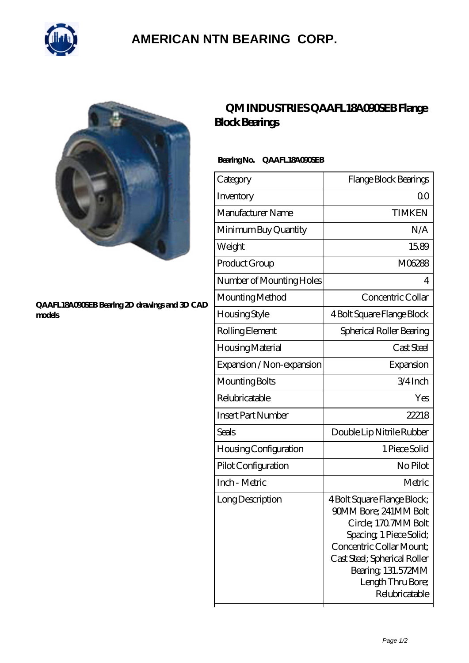

## **[AMERICAN NTN BEARING CORP.](https://all-about-hang-gliding.com)**



#### **[QAAFL18A090SEB Bearing 2D drawings and 3D CAD](https://all-about-hang-gliding.com/pic-191777.html) [models](https://all-about-hang-gliding.com/pic-191777.html)**

### **[QM INDUSTRIES QAAFL18A090SEB Flange](https://all-about-hang-gliding.com/by-191777-qm-industries-qaafl18a090seb-flange-block-bearings.html) [Block Bearings](https://all-about-hang-gliding.com/by-191777-qm-industries-qaafl18a090seb-flange-block-bearings.html)**

### **Bearing No. QAAFL18A090SEB**

| Category                     | Flange Block Bearings                                                                                                                                                                                                           |
|------------------------------|---------------------------------------------------------------------------------------------------------------------------------------------------------------------------------------------------------------------------------|
| Inventory                    | 0 <sup>0</sup>                                                                                                                                                                                                                  |
| Manufacturer Name            | <b>TIMKEN</b>                                                                                                                                                                                                                   |
| Minimum Buy Quantity         | N/A                                                                                                                                                                                                                             |
| Weight                       | 15.89                                                                                                                                                                                                                           |
| Product Group                | M06288                                                                                                                                                                                                                          |
| Number of Mounting Holes     | 4                                                                                                                                                                                                                               |
| Mounting Method              | Concentric Collar                                                                                                                                                                                                               |
| Housing Style                | 4 Bolt Square Flange Block                                                                                                                                                                                                      |
| Rolling Element              | Spherical Roller Bearing                                                                                                                                                                                                        |
| Housing Material             | Cast Steel                                                                                                                                                                                                                      |
| Expansion / Non-expansion    | Expansion                                                                                                                                                                                                                       |
| Mounting Bolts               | $3/4$ Inch                                                                                                                                                                                                                      |
| Relubricatable               | Yes                                                                                                                                                                                                                             |
| <b>Insert Part Number</b>    | 22218                                                                                                                                                                                                                           |
| Seals                        | Double Lip Nitrile Rubber                                                                                                                                                                                                       |
| <b>Housing Configuration</b> | 1 Piece Solid                                                                                                                                                                                                                   |
| Pilot Configuration          | No Pilot                                                                                                                                                                                                                        |
| Inch - Metric                | Metric                                                                                                                                                                                                                          |
| Long Description             | 4 Bolt Square Flange Block;<br>90MM Bore; 241MM Bolt<br>Circle; 1707MM Bolt<br>Spacing, 1 Piece Solid;<br>Concentric Collar Mount:<br>Cast Steel; Spherical Roller<br>Bearing, 131.572MM<br>Length Thru Bore;<br>Relubricatable |